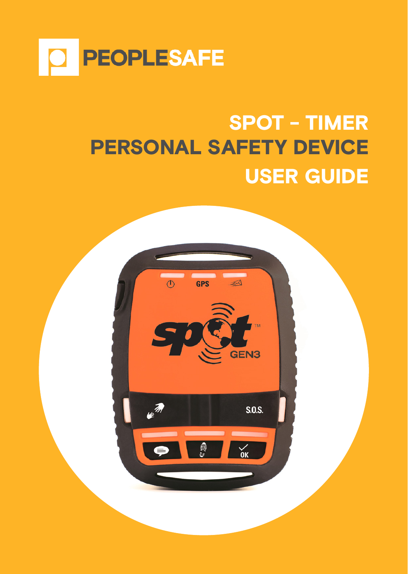

## SPOT - TIMER PERSONAL SAFETY DEVICE USER GUIDE

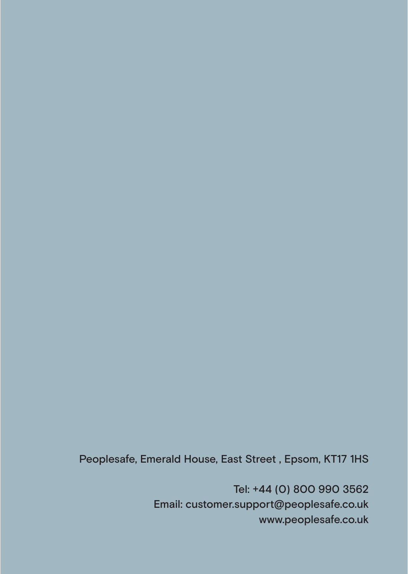Peoplesafe, Emerald House, East Street , Epsom, KT17 1HS

Tel: +44 (0) 800 990 3562 Email: customer.support@peoplesafe.co.uk www.peoplesafe.co.uk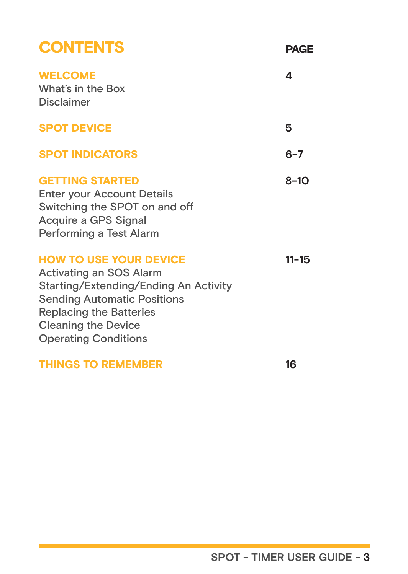| <b>CONTENTS</b>                                                                                                                                                                                                                        | <b>PAGF</b> |
|----------------------------------------------------------------------------------------------------------------------------------------------------------------------------------------------------------------------------------------|-------------|
| <b>WELCOME</b><br>What's in the Box<br><b>Disclaimer</b>                                                                                                                                                                               | Δ           |
| <b>SPOT DEVICE</b>                                                                                                                                                                                                                     | 5           |
| <b>SPOT INDICATORS</b>                                                                                                                                                                                                                 | $6 - 7$     |
| <b>GETTING STARTED</b><br>Enter your Account Details<br>Switching the SPOT on and off<br>Acquire a GPS Signal<br>Performing a Test Alarm                                                                                               | 8-10        |
| <b>HOW TO USE YOUR DEVICE</b><br>Activating an SOS Alarm<br>Starting/Extending/Ending An Activity<br><b>Sending Automatic Positions</b><br><b>Replacing the Batteries</b><br><b>Cleaning the Device</b><br><b>Operating Conditions</b> | $11 - 15$   |
| <b>THINGS TO REMEMBER</b>                                                                                                                                                                                                              | 16          |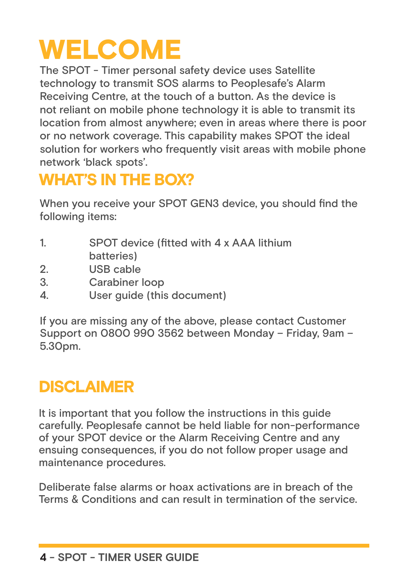## WELCOME

The SPOT - Timer personal safety device uses Satellite technology to transmit SOS alarms to Peoplesafe's Alarm Receiving Centre, at the touch of a button. As the device is not reliant on mobile phone technology it is able to transmit its location from almost anywhere; even in areas where there is poor or no network coverage. This capability makes SPOT the ideal solution for workers who frequently visit areas with mobile phone network 'black spots'.

## WHAT'S IN THE BOX?

When you receive your SPOT GEN3 device, you should find the following items:

- 1. SPOT device (fitted with 4 x AAA lithium batteries)
- 2. USB cable
- 3. Carabiner loop
- 4. User guide (this document)

If you are missing any of the above, please contact Customer Support on 0800 990 3562 between Monday – Friday, 9am – 5.30pm.

## **DISCLAIMER**

It is important that you follow the instructions in this guide carefully. Peoplesafe cannot be held liable for non-performance of your SPOT device or the Alarm Receiving Centre and any ensuing consequences, if you do not follow proper usage and maintenance procedures.

Deliberate false alarms or hoax activations are in breach of the Terms & Conditions and can result in termination of the service.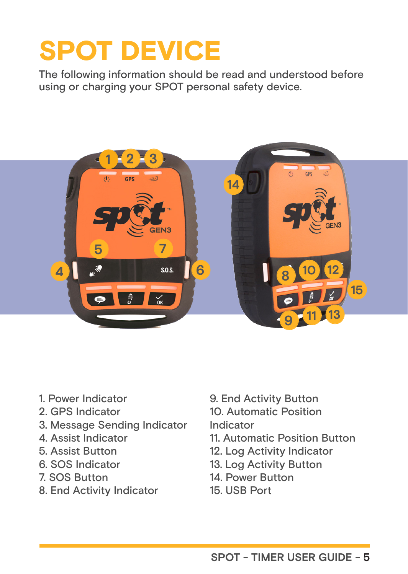## SPOT DEVICE

The following information should be read and understood before using or charging your SPOT personal safety device.



- 1. Power Indicator
- 2. GPS Indicator
- 3. Message Sending Indicator
- 4. Assist Indicator
- 5. Assist Button
- 6. SOS Indicator
- 7. SOS Button
- 8. End Activity Indicator
- 9. End Activity Button
- 10. Automatic Position
- Indicator
- 11. Automatic Position Button
- 12. Log Activity Indicator
- 13. Log Activity Button
- 14. Power Button
- 15. USB Port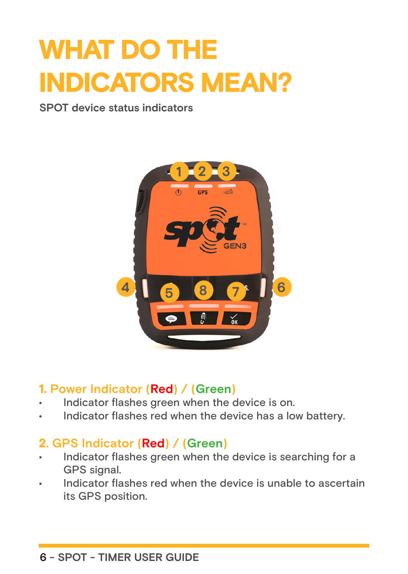## WHAT DO THE INDICATORS MEAN?

**SPOT device status indicators**



#### 1. **Power Indicator (Red) / (Green)**

- Indicator flashes green when the device is on.
- Indicator flashes red when the device has a low battery.

#### 2**. GPS Indicator (Red) / (Green)**

- Indicator flashes green when the device is searching for a GPS signal.
- Indicator flashes red when the device is unable to ascertain its GPS position.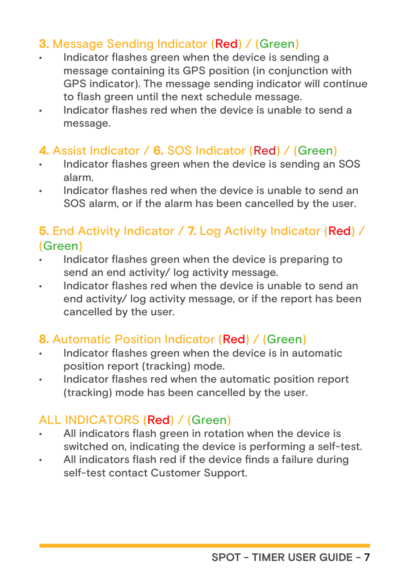#### 3. Message Sending Indicator (Red) / (Green)

- Indicator flashes green when the device is sending a message containing its GPS position (in conjunction with GPS indicator). The message sending indicator will continue to flash green until the next schedule message.
- Indicator flashes red when the device is unable to send a message.

#### 4. Assist Indicator / 6. SOS Indicator (Red) / (Green)

- Indicator flashes green when the device is sending an SOS alarm.
- Indicator flashes red when the device is unable to send an SOS alarm, or if the alarm has been cancelled by the user.

#### 5. End Activity Indicator / 7. Log Activity Indicator (Red) / (Green)

- Indicator flashes green when the device is preparing to send an end activity/ log activity message.
- Indicator flashes red when the device is unable to send an end activity/ log activity message, or if the report has been cancelled by the user.

#### 8. Automatic Position Indicator (Red) / (Green)

- Indicator flashes green when the device is in automatic position report (tracking) mode.
- Indicator flashes red when the automatic position report (tracking) mode has been cancelled by the user.

#### ALL INDICATORS (Red) / (Green)

- All indicators flash green in rotation when the device is switched on, indicating the device is performing a self-test.
- All indicators flash red if the device finds a failure during self-test contact Customer Support.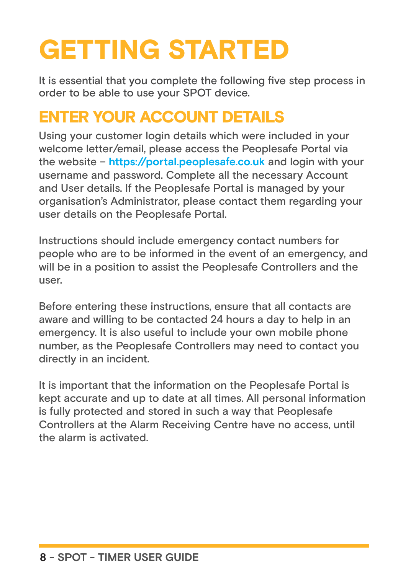## GETTING STARTED

It is essential that you complete the following five step process in order to be able to use your SPOT device.

#### ENTER YOUR ACCOUNT DETAILS

Using your customer login details which were included in your welcome letter/email, please access the Peoplesafe Portal via the website – **https://portal.peoplesafe.co.uk** and login with your username and password. Complete all the necessary Account and User details. If the Peoplesafe Portal is managed by your organisation's Administrator, please contact them regarding your user details on the Peoplesafe Portal.

Instructions should include emergency contact numbers for people who are to be informed in the event of an emergency, and will be in a position to assist the Peoplesafe Controllers and the user.

Before entering these instructions, ensure that all contacts are aware and willing to be contacted 24 hours a day to help in an emergency. It is also useful to include your own mobile phone number, as the Peoplesafe Controllers may need to contact you directly in an incident.

It is important that the information on the Peoplesafe Portal is kept accurate and up to date at all times. All personal information is fully protected and stored in such a way that Peoplesafe Controllers at the Alarm Receiving Centre have no access, until the alarm is activated.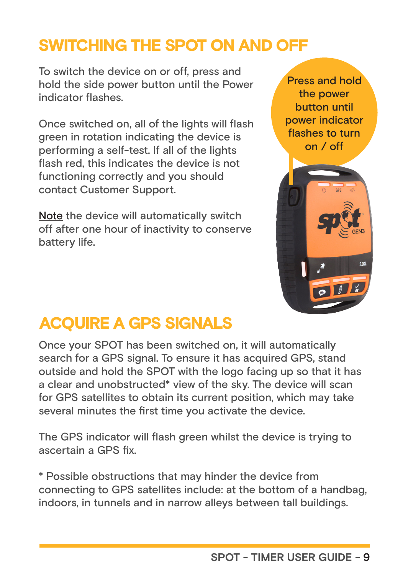#### SWITCHING THE SPOT ON AND OFF

To switch the device on or off, press and hold the side power button until the Power indicator flashes.

Once switched on, all of the lights will flash green in rotation indicating the device is performing a self-test. If all of the lights flash red, this indicates the device is not functioning correctly and you should contact Customer Support.

Note the device will automatically switch off after one hour of inactivity to conserve battery life.

Press and hold the power button until power indicator flashes to turn on / off



#### ACQUIRE A GPS SIGNALS

Once your SPOT has been switched on, it will automatically search for a GPS signal. To ensure it has acquired GPS, stand outside and hold the SPOT with the logo facing up so that it has a clear and unobstructed\* view of the sky. The device will scan for GPS satellites to obtain its current position, which may take several minutes the first time you activate the device.

The GPS indicator will flash green whilst the device is trying to ascertain a GPS fix.

\* Possible obstructions that may hinder the device from connecting to GPS satellites include: at the bottom of a handbag, indoors, in tunnels and in narrow alleys between tall buildings.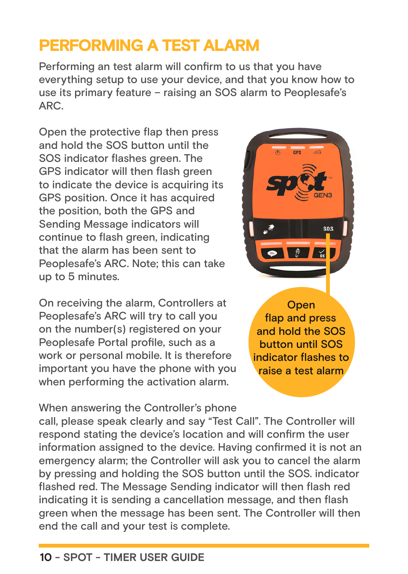#### PERFORMING A TEST ALARM

Performing an test alarm will confirm to us that you have everything setup to use your device, and that you know how to use its primary feature – raising an SOS alarm to Peoplesafe's ARC.

Open the protective flap then press and hold the SOS button until the SOS indicator flashes green. The GPS indicator will then flash green to indicate the device is acquiring its GPS position. Once it has acquired the position, both the GPS and Sending Message indicators will continue to flash green, indicating that the alarm has been sent to Peoplesafe's ARC. Note; this can take up to 5 minutes.

On receiving the alarm, Controllers at Peoplesafe's ARC will try to call you on the number(s) registered on your Peoplesafe Portal profile, such as a work or personal mobile. It is therefore important you have the phone with you when performing the activation alarm.

When answering the Controller's phone

call, please speak clearly and say "Test Call". The Controller will respond stating the device's location and will confirm the user information assigned to the device. Having confirmed it is not an emergency alarm; the Controller will ask you to cancel the alarm by pressing and holding the SOS button until the SOS. indicator flashed red. The Message Sending indicator will then flash red indicating it is sending a cancellation message, and then flash green when the message has been sent. The Controller will then end the call and your test is complete.



and hold the SOS button until SOS indicator flashes to raise a test alarm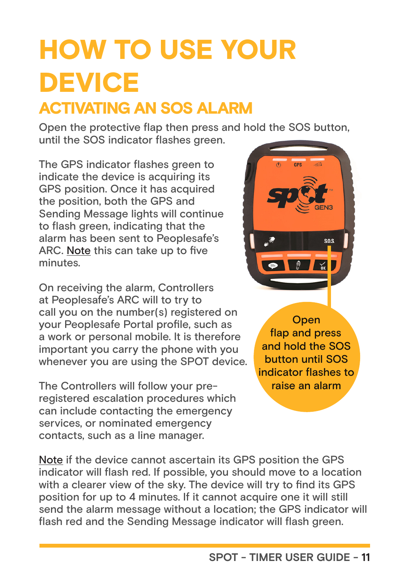# HOW TO USE YOUR **DEVICE**

### ACTIVATING AN SOS ALARM

Open the protective flap then press and hold the SOS button, until the SOS indicator flashes green.

The GPS indicator flashes green to indicate the device is acquiring its GPS position. Once it has acquired the position, both the GPS and Sending Message lights will continue to flash green, indicating that the alarm has been sent to Peoplesafe's ARC. Note this can take up to five minutes.

On receiving the alarm, Controllers at Peoplesafe's ARC will to try to call you on the number(s) registered on your Peoplesafe Portal profile, such as a work or personal mobile. It is therefore important you carry the phone with you whenever you are using the SPOT device.

The Controllers will follow your preregistered escalation procedures which can include contacting the emergency services, or nominated emergency contacts, such as a line manager.



**Open** flap and press and hold the SOS button until SOS indicator flashes to raise an alarm

Note if the device cannot ascertain its GPS position the GPS indicator will flash red. If possible, you should move to a location with a clearer view of the sky. The device will try to find its GPS position for up to 4 minutes. If it cannot acquire one it will still send the alarm message without a location; the GPS indicator will flash red and the Sending Message indicator will flash green.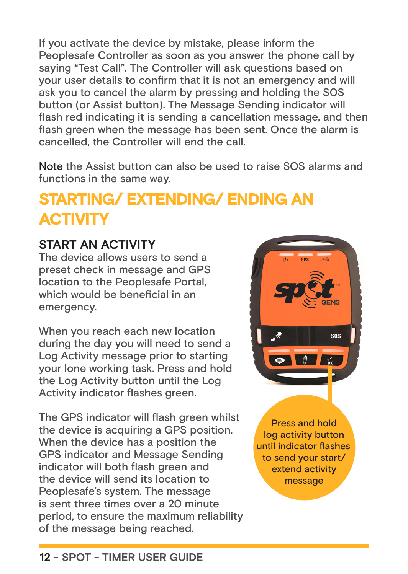If you activate the device by mistake, please inform the Peoplesafe Controller as soon as you answer the phone call by saying "Test Call". The Controller will ask questions based on your user details to confirm that it is not an emergency and will ask you to cancel the alarm by pressing and holding the S0S button (or Assist button). The Message Sending indicator will flash red indicating it is sending a cancellation message, and then flash green when the message has been sent. Once the alarm is cancelled, the Controller will end the call.

Note the Assist button can also be used to raise SOS alarms and functions in the same way.

## STARTING/ EXTENDING/ ENDING AN **ACTIVITY**

#### **START AN ACTIVITY**

The device allows users to send a preset check in message and GPS location to the Peoplesafe Portal, which would be beneficial in an emergency.

When you reach each new location during the day you will need to send a Log Activity message prior to starting your lone working task. Press and hold the Log Activity button until the Log Activity indicator flashes green.

The GPS indicator will flash green whilst the device is acquiring a GPS position. When the device has a position the GPS indicator and Message Sending indicator will both flash green and the device will send its location to Peoplesafe's system. The message is sent three times over a 20 minute period, to ensure the maximum reliability of the message being reached.



Press and hold log activity button until indicator flashes to send your start/ extend activity message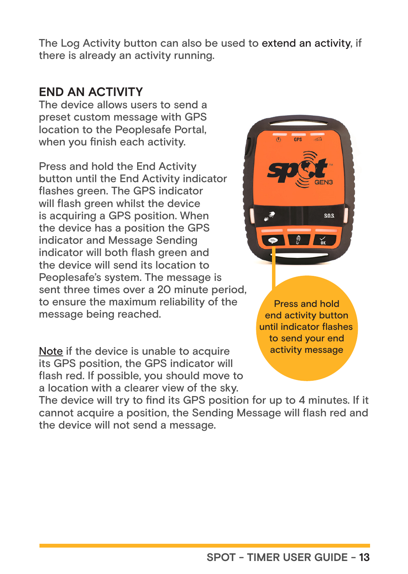The Log Activity button can also be used to extend an activity, if there is already an activity running.

#### **END AN ACTIVITY**

The device allows users to send a preset custom message with GPS location to the Peoplesafe Portal, when you finish each activity.

Press and hold the End Activity button until the End Activity indicator flashes green. The GPS indicator will flash green whilst the device is acquiring a GPS position. When the device has a position the GPS indicator and Message Sending indicator will both flash green and the device will send its location to Peoplesafe's system. The message is sent three times over a 20 minute period, to ensure the maximum reliability of the message being reached.

Note if the device is unable to acquire its GPS position, the GPS indicator will flash red. If possible, you should move to a location with a clearer view of the sky.

 $s.0s$ 

Press and hold end activity button until indicator flashes to send your end activity message

The device will try to find its GPS position for up to 4 minutes. If it cannot acquire a position, the Sending Message will flash red and the device will not send a message.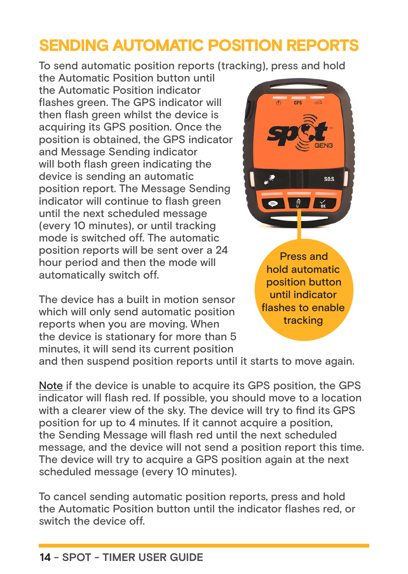### SENDING AUTOMATIC POSITION REPORTS

To send automatic position reports (tracking), press and hold

the Automatic Position button until the Automatic Position indicator flashes green. The GPS indicator will then flash green whilst the device is acquiring its GPS position. Once the position is obtained, the GPS indicator and Message Sending indicator will both flash green indicating the device is sending an automatic position report. The Message Sending indicator will continue to flash green until the next scheduled message (every 10 minutes), or until tracking mode is switched off. The automatic position reports will be sent over a 24 hour period and then the mode will automatically switch off.

The device has a built in motion sensor which will only send automatic position reports when you are moving. When the device is stationary for more than 5 minutes, it will send its current position



Press and hold automatic position button until indicator flashes to enable tracking

and then suspend position reports until it starts to move again.

Note if the device is unable to acquire its GPS position, the GPS indicator will flash red. If possible, you should move to a location with a clearer view of the sky. The device will try to find its GPS position for up to 4 minutes. If it cannot acquire a position, the Sending Message will flash red until the next scheduled message, and the device will not send a position report this time. The device will try to acquire a GPS position again at the next scheduled message (every 10 minutes).

To cancel sending automatic position reports, press and hold the Automatic Position button until the indicator flashes red, or switch the device off.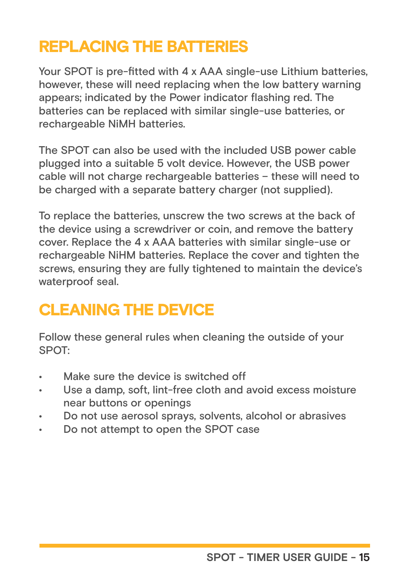### REPLACING THE BATTERIES

Your SPOT is pre-fitted with 4 x AAA single-use Lithium batteries, however, these will need replacing when the low battery warning appears; indicated by the Power indicator flashing red. The batteries can be replaced with similar single-use batteries, or rechargeable NiMH batteries.

The SPOT can also be used with the included USB power cable plugged into a suitable 5 volt device. However, the USB power cable will not charge rechargeable batteries – these will need to be charged with a separate battery charger (not supplied).

To replace the batteries, unscrew the two screws at the back of the device using a screwdriver or coin, and remove the battery cover. Replace the 4 x AAA batteries with similar single-use or rechargeable NiHM batteries. Replace the cover and tighten the screws, ensuring they are fully tightened to maintain the device's waterproof seal.

## CLEANING THE DEVICE

Follow these general rules when cleaning the outside of your SPOT:

- Make sure the device is switched off
- Use a damp, soft, lint-free cloth and avoid excess moisture near buttons or openings
- Do not use aerosol sprays, solvents, alcohol or abrasives
- Do not attempt to open the SPOT case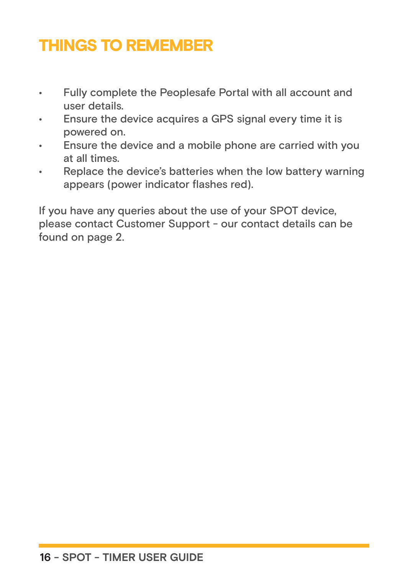## THINGS TO REMEMBER

- Fully complete the Peoplesafe Portal with all account and user details.
- Ensure the device acquires a GPS signal every time it is powered on.
- Ensure the device and a mobile phone are carried with you at all times.
- Replace the device's batteries when the low battery warning appears (power indicator flashes red).

If you have any queries about the use of your SPOT device, please contact Customer Support - our contact details can be found on page 2.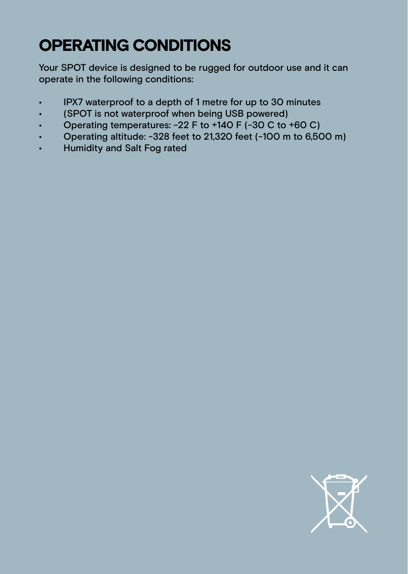## OPERATING CONDITIONS

Your SPOT device is designed to be rugged for outdoor use and it can operate in the following conditions:

- IPX7 waterproof to a depth of 1 metre for up to 30 minutes
- (SPOT is not waterproof when being USB powered)
- Operating temperatures: -22 F to +140 F (-30 C to +60 C)
- Operating altitude: -328 feet to 21,320 feet (-100 m to 6,500 m)
- Humidity and Salt Fog rated